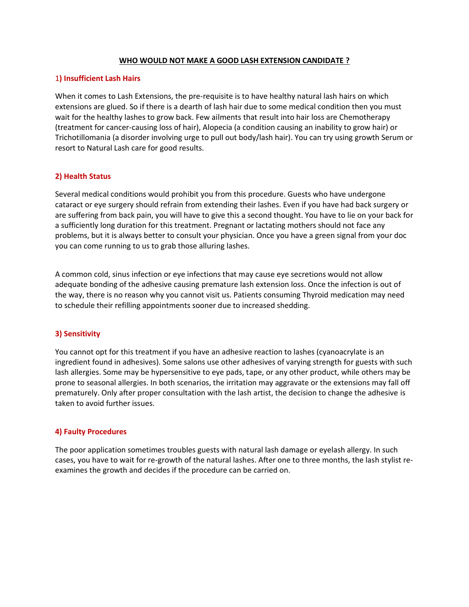# **WHO WOULD NOT MAKE A GOOD LASH EXTENSION CANDIDATE ?**

## 1**) Insufficient Lash Hairs**

When it comes to Lash Extensions, the pre-requisite is to have healthy natural lash hairs on which extensions are glued. So if there is a dearth of lash hair due to some medical condition then you must wait for the healthy lashes to grow back. Few ailments that result into hair loss are Chemotherapy (treatment for cancer-causing loss of hair), Alopecia (a condition causing an inability to grow hair) or Trichotillomania (a disorder involving urge to pull out body/lash hair). You can try using growth Serum or resort to Natural Lash care for good results.

# **2) Health Status**

Several medical conditions would prohibit you from this procedure. Guests who have undergone cataract or eye surgery should refrain from extending their lashes. Even if you have had back surgery or are suffering from back pain, you will have to give this a second thought. You have to lie on your back for a sufficiently long duration for this treatment. Pregnant or lactating mothers should not face any problems, but it is always better to consult your physician. Once you have a green signal from your doc you can come running to us to grab those alluring lashes.

A common cold, sinus infection or eye infections that may cause eye secretions would not allow adequate bonding of the adhesive causing premature lash extension loss. Once the infection is out of the way, there is no reason why you cannot visit us. Patients consuming Thyroid medication may need to schedule their refilling appointments sooner due to increased shedding.

### **3) Sensitivity**

You cannot opt for this treatment if you have an adhesive reaction to lashes (cyanoacrylate is an ingredient found in adhesives). Some salons use other adhesives of varying strength for guests with such lash allergies. Some may be hypersensitive to eye pads, tape, or any other product, while others may be prone to seasonal allergies. In both scenarios, the irritation may aggravate or the extensions may fall off prematurely. Only after proper consultation with the lash artist, the decision to change the adhesive is taken to avoid further issues.

# **4) Faulty Procedures**

The poor application sometimes troubles guests with natural lash damage or eyelash allergy. In such cases, you have to wait for re-growth of the natural lashes. After one to three months, the lash stylist reexamines the growth and decides if the procedure can be carried on.